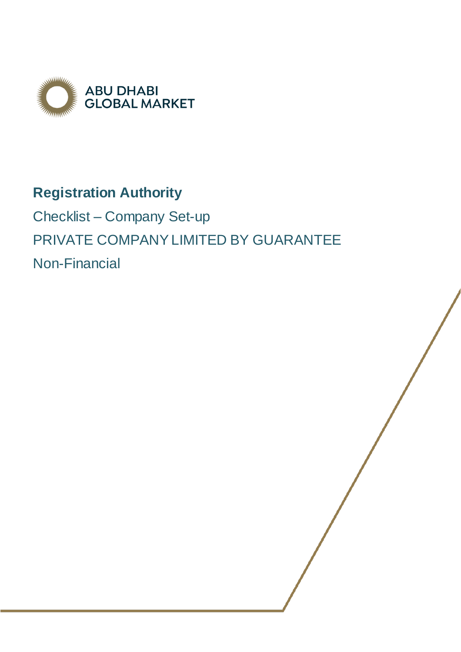

# **Registration Authority**

Checklist – Company Set-up PRIVATE COMPANY LIMITED BY GUARANTEE Non-Financial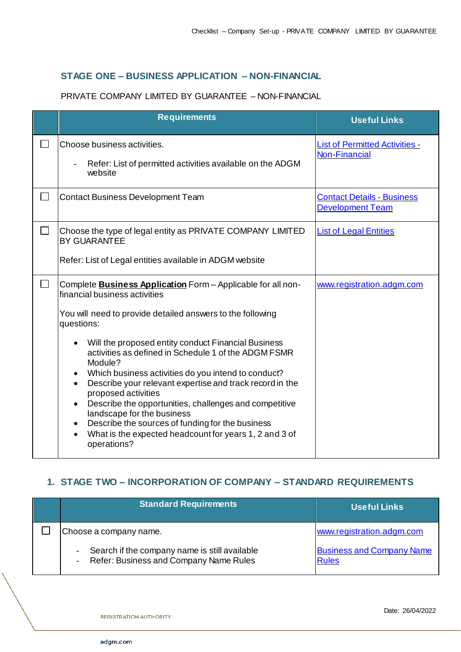## **STAGE ONE – BUSINESS APPLICATION – NON-FINANCIAL**

### PRIVATE COMPANY LIMITED BY GUARANTEE – NON-FINANCIAL

|        | <b>Requirements</b>                                                                                                                                                                                                                                                                                                                                                                                                                                                                                                                                                                                                                                                       | <b>Useful Links</b>                                           |
|--------|---------------------------------------------------------------------------------------------------------------------------------------------------------------------------------------------------------------------------------------------------------------------------------------------------------------------------------------------------------------------------------------------------------------------------------------------------------------------------------------------------------------------------------------------------------------------------------------------------------------------------------------------------------------------------|---------------------------------------------------------------|
| $\sim$ | Choose business activities.<br>Refer: List of permitted activities available on the ADGM<br>website                                                                                                                                                                                                                                                                                                                                                                                                                                                                                                                                                                       | <b>List of Permitted Activities -</b><br><b>Non-Financial</b> |
| $\Box$ | <b>Contact Business Development Team</b>                                                                                                                                                                                                                                                                                                                                                                                                                                                                                                                                                                                                                                  | <b>Contact Details - Business</b><br>Development Team         |
| $\Box$ | Choose the type of legal entity as PRIVATE COMPANY LIMITED<br><b>BY GUARANTEE</b><br>Refer: List of Legal entities available in ADGM website                                                                                                                                                                                                                                                                                                                                                                                                                                                                                                                              | <b>List of Legal Entities</b>                                 |
| $\Box$ | Complete <b>Business Application</b> Form - Applicable for all non-<br>financial business activities<br>You will need to provide detailed answers to the following<br>questions:<br>Will the proposed entity conduct Financial Business<br>activities as defined in Schedule 1 of the ADGM FSMR<br>Module?<br>Which business activities do you intend to conduct?<br>Describe your relevant expertise and track record in the<br>proposed activities<br>Describe the opportunities, challenges and competitive<br>landscape for the business<br>Describe the sources of funding for the business<br>What is the expected headcount for years 1, 2 and 3 of<br>operations? | www.registration.adgm.com                                     |

# **1. STAGE TWO – INCORPORATION OF COMPANY – STANDARD REQUIREMENTS**

| <b>Standard Requirements</b>                                                            | <b>Useful Links</b>                              |
|-----------------------------------------------------------------------------------------|--------------------------------------------------|
| Choose a company name.                                                                  | www.registration.adgm.com                        |
| Search if the company name is still available<br>Refer: Business and Company Name Rules | <b>Business and Company Name</b><br><b>Rules</b> |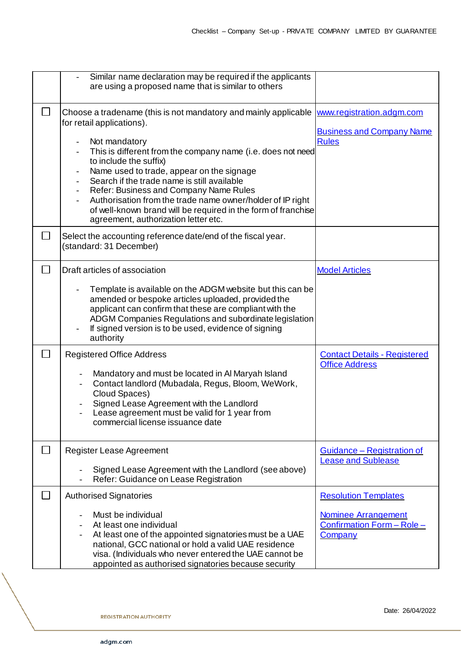|              | Similar name declaration may be required if the applicants<br>are using a proposed name that is similar to others                                                                                                                                                                                                                                                                                                                                                                                                                               |                                                                                                    |
|--------------|-------------------------------------------------------------------------------------------------------------------------------------------------------------------------------------------------------------------------------------------------------------------------------------------------------------------------------------------------------------------------------------------------------------------------------------------------------------------------------------------------------------------------------------------------|----------------------------------------------------------------------------------------------------|
|              | Choose a tradename (this is not mandatory and mainly applicable<br>for retail applications).<br>Not mandatory<br>This is different from the company name (i.e. does not need<br>to include the suffix)<br>Name used to trade, appear on the signage<br>Search if the trade name is still available<br>Refer: Business and Company Name Rules<br>$\overline{\phantom{a}}$<br>Authorisation from the trade name owner/holder of IP right<br>of well-known brand will be required in the form of franchise<br>agreement, authorization letter etc. | www.registration.adgm.com<br><b>Business and Company Name</b><br><b>Rules</b>                      |
|              | Select the accounting reference date/end of the fiscal year.<br>(standard: 31 December)                                                                                                                                                                                                                                                                                                                                                                                                                                                         |                                                                                                    |
|              | Draft articles of association<br>Template is available on the ADGM website but this can be<br>amended or bespoke articles uploaded, provided the<br>applicant can confirm that these are compliant with the<br>ADGM Companies Regulations and subordinate legislation<br>If signed version is to be used, evidence of signing<br>authority                                                                                                                                                                                                      | <b>Model Articles</b>                                                                              |
|              | <b>Registered Office Address</b><br>Mandatory and must be located in Al Maryah Island<br>Contact landlord (Mubadala, Regus, Bloom, WeWork,<br>Cloud Spaces)<br>Signed Lease Agreement with the Landlord<br>Lease agreement must be valid for 1 year from<br>commercial license issuance date                                                                                                                                                                                                                                                    | <b>Contact Details - Registered</b><br><b>Office Address</b>                                       |
| $\mathbf{L}$ | Register Lease Agreement<br>Signed Lease Agreement with the Landlord (see above)<br>Refer: Guidance on Lease Registration                                                                                                                                                                                                                                                                                                                                                                                                                       | <u><b>Guidance – Registration of</b></u><br><b>Lease and Sublease</b>                              |
|              | <b>Authorised Signatories</b><br>Must be individual<br>At least one individual<br>At least one of the appointed signatories must be a UAE<br>national, GCC national or hold a valid UAE residence<br>visa. (Individuals who never entered the UAE cannot be<br>appointed as authorised signatories because security                                                                                                                                                                                                                             | <b>Resolution Templates</b><br><b>Nominee Arrangement</b><br>Confirmation Form - Role -<br>Company |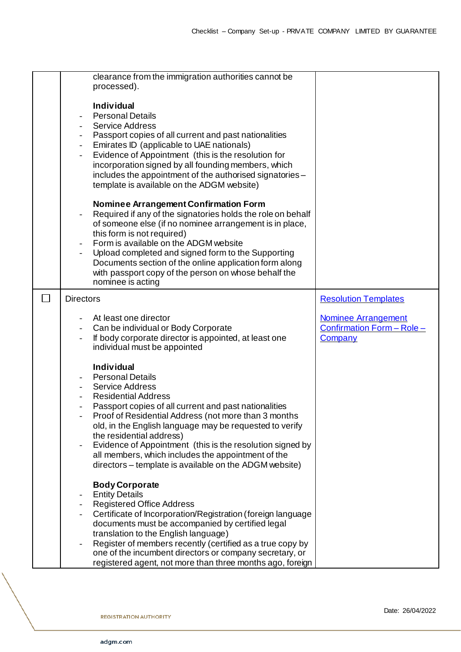|        | clearance from the immigration authorities cannot be<br>processed).<br><b>Individual</b><br><b>Personal Details</b><br><b>Service Address</b><br>Passport copies of all current and past nationalities<br>$\overline{\phantom{a}}$<br>Emirates ID (applicable to UAE nationals)<br>$\blacksquare$<br>Evidence of Appointment (this is the resolution for<br>$\overline{\phantom{a}}$<br>incorporation signed by all founding members, which<br>includes the appointment of the authorised signatories -<br>template is available on the ADGM website)<br><b>Nominee Arrangement Confirmation Form</b> |                                                                            |
|--------|-------------------------------------------------------------------------------------------------------------------------------------------------------------------------------------------------------------------------------------------------------------------------------------------------------------------------------------------------------------------------------------------------------------------------------------------------------------------------------------------------------------------------------------------------------------------------------------------------------|----------------------------------------------------------------------------|
|        | Required if any of the signatories holds the role on behalf<br>of someone else (if no nominee arrangement is in place,<br>this form is not required)<br>Form is available on the ADGM website<br>Upload completed and signed form to the Supporting<br>Documents section of the online application form along<br>with passport copy of the person on whose behalf the<br>nominee is acting                                                                                                                                                                                                            |                                                                            |
| $\Box$ | <b>Directors</b>                                                                                                                                                                                                                                                                                                                                                                                                                                                                                                                                                                                      | <b>Resolution Templates</b>                                                |
|        | At least one director<br>Can be individual or Body Corporate<br>If body corporate director is appointed, at least one<br>individual must be appointed                                                                                                                                                                                                                                                                                                                                                                                                                                                 | <b>Nominee Arrangement</b><br>Confirmation Form - Role -<br><b>Company</b> |
|        | <b>Individual</b><br><b>Personal Details</b><br><b>Service Address</b><br><b>Residential Address</b><br>Passport copies of all current and past nationalities<br>Proof of Residential Address (not more than 3 months<br>old, in the English language may be requested to verify<br>the residential address)<br>Evidence of Appointment (this is the resolution signed by<br>all members, which includes the appointment of the<br>directors – template is available on the ADGM website)                                                                                                             |                                                                            |
|        | <b>Body Corporate</b><br><b>Entity Details</b><br><b>Registered Office Address</b><br>Certificate of Incorporation/Registration (foreign language<br>documents must be accompanied by certified legal<br>translation to the English language)<br>Register of members recently (certified as a true copy by<br>one of the incumbent directors or company secretary, or<br>registered agent, not more than three months ago, foreign                                                                                                                                                                    |                                                                            |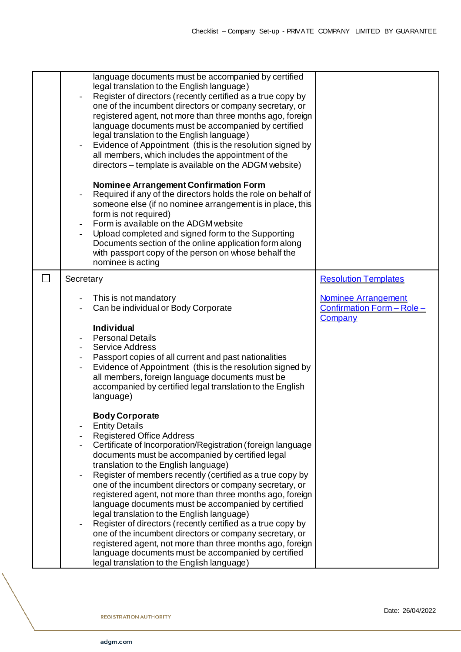|              | language documents must be accompanied by certified<br>legal translation to the English language)<br>Register of directors (recently certified as a true copy by<br>one of the incumbent directors or company secretary, or<br>registered agent, not more than three months ago, foreign<br>language documents must be accompanied by certified<br>legal translation to the English language)<br>Evidence of Appointment (this is the resolution signed by<br>all members, which includes the appointment of the<br>directors – template is available on the ADGM website)<br><b>Nominee Arrangement Confirmation Form</b><br>Required if any of the directors holds the role on behalf of<br>someone else (if no nominee arrangement is in place, this<br>form is not required)<br>Form is available on the ADGM website           |                                                                            |
|--------------|-------------------------------------------------------------------------------------------------------------------------------------------------------------------------------------------------------------------------------------------------------------------------------------------------------------------------------------------------------------------------------------------------------------------------------------------------------------------------------------------------------------------------------------------------------------------------------------------------------------------------------------------------------------------------------------------------------------------------------------------------------------------------------------------------------------------------------------|----------------------------------------------------------------------------|
|              | Upload completed and signed form to the Supporting<br>Documents section of the online application form along<br>with passport copy of the person on whose behalf the<br>nominee is acting                                                                                                                                                                                                                                                                                                                                                                                                                                                                                                                                                                                                                                           |                                                                            |
| $\mathsf{L}$ | Secretary                                                                                                                                                                                                                                                                                                                                                                                                                                                                                                                                                                                                                                                                                                                                                                                                                           | <b>Resolution Templates</b>                                                |
|              | This is not mandatory<br>Can be individual or Body Corporate                                                                                                                                                                                                                                                                                                                                                                                                                                                                                                                                                                                                                                                                                                                                                                        | <b>Nominee Arrangement</b><br>Confirmation Form - Role -<br><b>Company</b> |
|              | <b>Individual</b><br><b>Personal Details</b><br><b>Service Address</b><br>Passport copies of all current and past nationalities<br>Evidence of Appointment (this is the resolution signed by<br>all members, foreign language documents must be<br>accompanied by certified legal translation to the English<br>language)                                                                                                                                                                                                                                                                                                                                                                                                                                                                                                           |                                                                            |
|              | <b>Body Corporate</b><br><b>Entity Details</b><br><b>Registered Office Address</b><br>Certificate of Incorporation/Registration (foreign language<br>documents must be accompanied by certified legal<br>translation to the English language)<br>Register of members recently (certified as a true copy by<br>one of the incumbent directors or company secretary, or<br>registered agent, not more than three months ago, foreign<br>language documents must be accompanied by certified<br>legal translation to the English language)<br>Register of directors (recently certified as a true copy by<br>one of the incumbent directors or company secretary, or<br>registered agent, not more than three months ago, foreign<br>language documents must be accompanied by certified<br>legal translation to the English language) |                                                                            |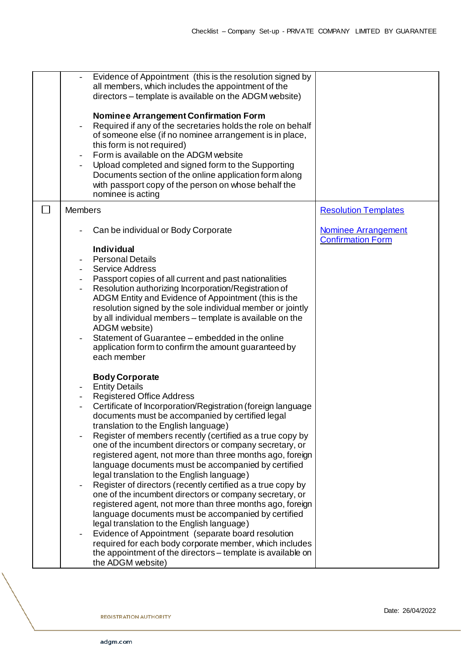|        |                          | Evidence of Appointment (this is the resolution signed by<br>all members, which includes the appointment of the<br>directors – template is available on the ADGM website)<br><b>Nominee Arrangement Confirmation Form</b><br>Required if any of the secretaries holds the role on behalf<br>of someone else (if no nominee arrangement is in place,<br>this form is not required)<br>Form is available on the ADGM website<br>Upload completed and signed form to the Supporting<br>Documents section of the online application form along<br>with passport copy of the person on whose behalf the<br>nominee is acting |                                                        |
|--------|--------------------------|-------------------------------------------------------------------------------------------------------------------------------------------------------------------------------------------------------------------------------------------------------------------------------------------------------------------------------------------------------------------------------------------------------------------------------------------------------------------------------------------------------------------------------------------------------------------------------------------------------------------------|--------------------------------------------------------|
| $\sim$ | <b>Members</b>           |                                                                                                                                                                                                                                                                                                                                                                                                                                                                                                                                                                                                                         | <b>Resolution Templates</b>                            |
|        |                          | Can be individual or Body Corporate                                                                                                                                                                                                                                                                                                                                                                                                                                                                                                                                                                                     | <b>Nominee Arrangement</b><br><b>Confirmation Form</b> |
|        |                          | <b>Individual</b><br><b>Personal Details</b>                                                                                                                                                                                                                                                                                                                                                                                                                                                                                                                                                                            |                                                        |
|        |                          | <b>Service Address</b>                                                                                                                                                                                                                                                                                                                                                                                                                                                                                                                                                                                                  |                                                        |
|        |                          | Passport copies of all current and past nationalities<br>Resolution authorizing Incorporation/Registration of                                                                                                                                                                                                                                                                                                                                                                                                                                                                                                           |                                                        |
|        |                          | ADGM Entity and Evidence of Appointment (this is the<br>resolution signed by the sole individual member or jointly                                                                                                                                                                                                                                                                                                                                                                                                                                                                                                      |                                                        |
|        |                          | by all individual members - template is available on the<br>ADGM website)                                                                                                                                                                                                                                                                                                                                                                                                                                                                                                                                               |                                                        |
|        |                          | Statement of Guarantee – embedded in the online                                                                                                                                                                                                                                                                                                                                                                                                                                                                                                                                                                         |                                                        |
|        |                          | application form to confirm the amount guaranteed by<br>each member                                                                                                                                                                                                                                                                                                                                                                                                                                                                                                                                                     |                                                        |
|        |                          | <b>Body Corporate</b>                                                                                                                                                                                                                                                                                                                                                                                                                                                                                                                                                                                                   |                                                        |
|        | $\overline{\phantom{a}}$ | <b>Entity Details</b><br><b>Registered Office Address</b>                                                                                                                                                                                                                                                                                                                                                                                                                                                                                                                                                               |                                                        |
|        |                          | Certificate of Incorporation/Registration (foreign language<br>documents must be accompanied by certified legal                                                                                                                                                                                                                                                                                                                                                                                                                                                                                                         |                                                        |
|        |                          | translation to the English language)                                                                                                                                                                                                                                                                                                                                                                                                                                                                                                                                                                                    |                                                        |
|        |                          | Register of members recently (certified as a true copy by<br>one of the incumbent directors or company secretary, or                                                                                                                                                                                                                                                                                                                                                                                                                                                                                                    |                                                        |
|        |                          | registered agent, not more than three months ago, foreign                                                                                                                                                                                                                                                                                                                                                                                                                                                                                                                                                               |                                                        |
|        |                          | language documents must be accompanied by certified<br>legal translation to the English language)                                                                                                                                                                                                                                                                                                                                                                                                                                                                                                                       |                                                        |
|        |                          | Register of directors (recently certified as a true copy by                                                                                                                                                                                                                                                                                                                                                                                                                                                                                                                                                             |                                                        |
|        |                          | one of the incumbent directors or company secretary, or<br>registered agent, not more than three months ago, foreign                                                                                                                                                                                                                                                                                                                                                                                                                                                                                                    |                                                        |
|        |                          | language documents must be accompanied by certified                                                                                                                                                                                                                                                                                                                                                                                                                                                                                                                                                                     |                                                        |
|        |                          | legal translation to the English language)<br>Evidence of Appointment (separate board resolution                                                                                                                                                                                                                                                                                                                                                                                                                                                                                                                        |                                                        |
|        |                          | required for each body corporate member, which includes                                                                                                                                                                                                                                                                                                                                                                                                                                                                                                                                                                 |                                                        |
|        |                          | the appointment of the directors – template is available on<br>the ADGM website)                                                                                                                                                                                                                                                                                                                                                                                                                                                                                                                                        |                                                        |
|        |                          |                                                                                                                                                                                                                                                                                                                                                                                                                                                                                                                                                                                                                         |                                                        |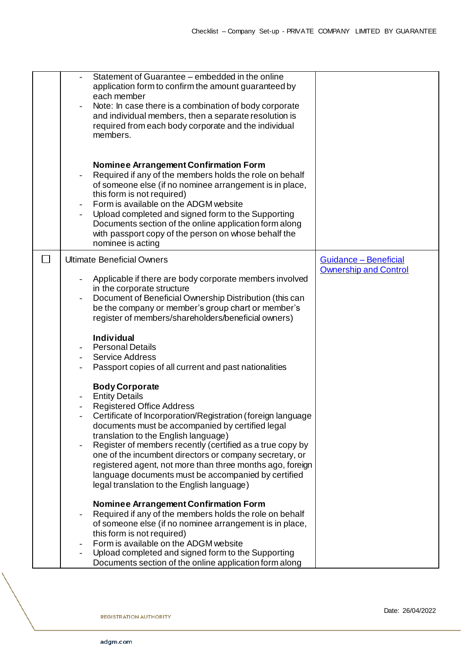| Statement of Guarantee – embedded in the online<br>application form to confirm the amount guaranteed by<br>each member<br>Note: In case there is a combination of body corporate<br>and individual members, then a separate resolution is<br>required from each body corporate and the individual<br>members.                                                                                                                                                                                                                           |                                                       |
|-----------------------------------------------------------------------------------------------------------------------------------------------------------------------------------------------------------------------------------------------------------------------------------------------------------------------------------------------------------------------------------------------------------------------------------------------------------------------------------------------------------------------------------------|-------------------------------------------------------|
| <b>Nominee Arrangement Confirmation Form</b><br>Required if any of the members holds the role on behalf<br>of someone else (if no nominee arrangement is in place,<br>this form is not required)<br>Form is available on the ADGM website<br>Upload completed and signed form to the Supporting<br>Documents section of the online application form along<br>with passport copy of the person on whose behalf the<br>nominee is acting                                                                                                  |                                                       |
| <b>Ultimate Beneficial Owners</b><br>Applicable if there are body corporate members involved<br>in the corporate structure<br>Document of Beneficial Ownership Distribution (this can<br>be the company or member's group chart or member's<br>register of members/shareholders/beneficial owners)                                                                                                                                                                                                                                      | Guidance - Beneficial<br><b>Ownership and Control</b> |
| <b>Individual</b><br><b>Personal Details</b><br><b>Service Address</b><br>Passport copies of all current and past nationalities                                                                                                                                                                                                                                                                                                                                                                                                         |                                                       |
| <b>Body Corporate</b><br><b>Entity Details</b><br><b>Registered Office Address</b><br>Certificate of Incorporation/Registration (foreign language<br>documents must be accompanied by certified legal<br>translation to the English language)<br>Register of members recently (certified as a true copy by<br>one of the incumbent directors or company secretary, or<br>registered agent, not more than three months ago, foreign<br>language documents must be accompanied by certified<br>legal translation to the English language) |                                                       |
| Nominee Arrangement Confirmation Form<br>Required if any of the members holds the role on behalf<br>of someone else (if no nominee arrangement is in place,<br>this form is not required)<br>Form is available on the ADGM website<br>Upload completed and signed form to the Supporting<br>Documents section of the online application form along                                                                                                                                                                                      |                                                       |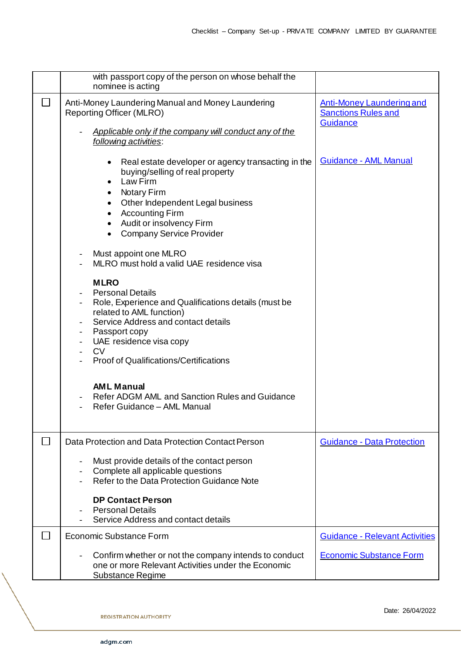|              | with passport copy of the person on whose behalf the                                                                                                                                                                                                                                                                  |                                                                            |
|--------------|-----------------------------------------------------------------------------------------------------------------------------------------------------------------------------------------------------------------------------------------------------------------------------------------------------------------------|----------------------------------------------------------------------------|
|              | nominee is acting                                                                                                                                                                                                                                                                                                     |                                                                            |
| $\Box$       | Anti-Money Laundering Manual and Money Laundering<br><b>Reporting Officer (MLRO)</b><br>Applicable only if the company will conduct any of the<br>following activities:                                                                                                                                               | <b>Anti-Money Laundering and</b><br><b>Sanctions Rules and</b><br>Guidance |
|              | Real estate developer or agency transacting in the<br>$\bullet$<br>buying/selling of real property<br>Law Firm<br>$\bullet$<br><b>Notary Firm</b><br>Other Independent Legal business<br><b>Accounting Firm</b><br>$\bullet$<br>Audit or insolvency Firm<br>$\bullet$<br><b>Company Service Provider</b><br>$\bullet$ | Guidance - AML Manual                                                      |
|              | Must appoint one MLRO<br>MLRO must hold a valid UAE residence visa                                                                                                                                                                                                                                                    |                                                                            |
|              | <b>MLRO</b><br><b>Personal Details</b><br>Role, Experience and Qualifications details (must be<br>related to AML function)<br>Service Address and contact details<br>- Passport copy<br>UAE residence visa copy<br><b>CV</b><br><b>Proof of Qualifications/Certifications</b>                                         |                                                                            |
|              | <b>AML Manual</b><br>Refer ADGM AML and Sanction Rules and Guidance<br>Refer Guidance - AML Manual                                                                                                                                                                                                                    |                                                                            |
| $\mathbf{I}$ | Data Protection and Data Protection Contact Person                                                                                                                                                                                                                                                                    | <b>Guidance - Data Protection</b>                                          |
|              | Must provide details of the contact person<br>Complete all applicable questions<br>Refer to the Data Protection Guidance Note                                                                                                                                                                                         |                                                                            |
|              | <b>DP Contact Person</b><br><b>Personal Details</b><br>Service Address and contact details                                                                                                                                                                                                                            |                                                                            |
| $\mathsf{L}$ | <b>Economic Substance Form</b>                                                                                                                                                                                                                                                                                        | <b>Guidance - Relevant Activities</b>                                      |
|              | Confirm whether or not the company intends to conduct<br>one or more Relevant Activities under the Economic<br>Substance Regime                                                                                                                                                                                       | <b>Economic Substance Form</b>                                             |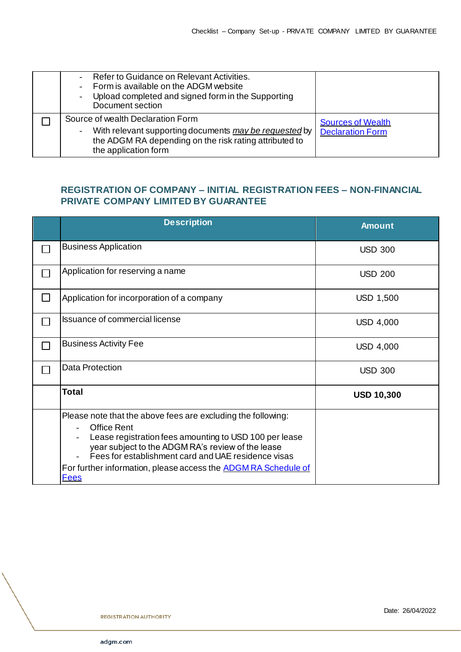| Refer to Guidance on Relevant Activities.<br>Form is available on the ADGM website<br>Upload completed and signed form in the Supporting<br>Document section                  |                                                     |
|-------------------------------------------------------------------------------------------------------------------------------------------------------------------------------|-----------------------------------------------------|
| Source of wealth Declaration Form<br>With relevant supporting documents may be requested by<br>the ADGM RA depending on the risk rating attributed to<br>the application form | <b>Sources of Wealth</b><br><b>Declaration Form</b> |

## **REGISTRATION OF COMPANY – INITIAL REGISTRATION FEES – NON-FINANCIAL PRIVATE COMPANY LIMITED BY GUARANTEE**

| <b>Description</b>                                                                                                                                                                                                                                                                                                                               | <b>Amount</b>     |
|--------------------------------------------------------------------------------------------------------------------------------------------------------------------------------------------------------------------------------------------------------------------------------------------------------------------------------------------------|-------------------|
| <b>Business Application</b>                                                                                                                                                                                                                                                                                                                      | <b>USD 300</b>    |
| Application for reserving a name                                                                                                                                                                                                                                                                                                                 | <b>USD 200</b>    |
| Application for incorporation of a company                                                                                                                                                                                                                                                                                                       | <b>USD 1,500</b>  |
| <b>Issuance of commercial license</b>                                                                                                                                                                                                                                                                                                            | <b>USD 4,000</b>  |
| <b>Business Activity Fee</b>                                                                                                                                                                                                                                                                                                                     | <b>USD 4,000</b>  |
| <b>Data Protection</b>                                                                                                                                                                                                                                                                                                                           | <b>USD 300</b>    |
| <b>Total</b>                                                                                                                                                                                                                                                                                                                                     | <b>USD 10,300</b> |
| Please note that the above fees are excluding the following:<br><b>Office Rent</b><br>Lease registration fees amounting to USD 100 per lease<br>year subject to the ADGM RA's review of the lease<br>Fees for establishment card and UAE residence visas<br>For further information, please access the <b>ADGM RA Schedule of</b><br><b>Fees</b> |                   |